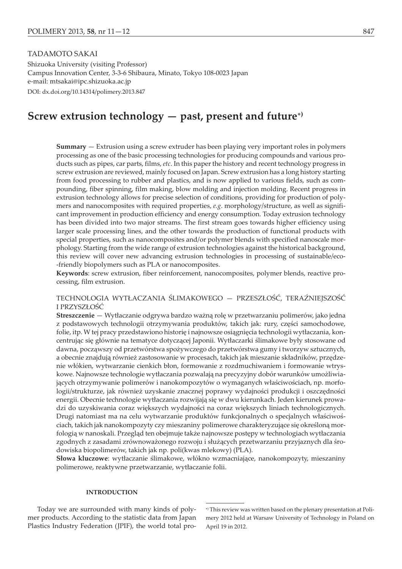# TADAMOTO SAKAI

Shizuoka University (visiting Professor) Campus Innovation Center, 3-3-6 Shibaura, Minato, Tokyo 108-0023 Japan e-mail: mtsakai@ipc.shizuoka.ac.jp DOI: dx.doi.org/10.14314/polimery.2013.847

# Screw extrusion technology  $-$  past, present and future<sup>\*</sup>)

**Summary** — Extrusion using a screw extruder has been playing very important roles in polymers processing as one of the basic processing technologies for producing compounds and various products such as pipes, car parts, films, *etc*. In this paper the history and recent technology progress in screw extrusion are reviewed, mainly focused on Japan. Screw extrusion has a long history starting from food processing to rubber and plastics, and is now applied to various fields, such as compounding, fiber spinning, film making, blow molding and injection molding. Recent progress in extrusion technology allows for precise selection of conditions, providing for production of polymers and nanocomposites with required properties, *e.g*. morphology/structure, as well as significant improvement in production efficiency and energy consumption. Today extrusion technology has been divided into two major streams. The first stream goes towards higher efficiency using larger scale processing lines, and the other towards the production of functional products with special properties, such as nanocomposites and/or polymer blends with specified nanoscale morphology. Starting from the wide range of extrusion technologies against the historical background, this review will cover new advancing extrusion technologies in processing of sustainable/eco- -friendly biopolymers such as PLA or nanocomposites.

**Keywords**: screw extrusion, fiber reinforcement, nanocomposites, polymer blends, reactive processing, film extrusion.

TECHNOLOGIA WYTŁACZANIA SLIMAKOWEGO — PRZESZŁOSC, TERAZNIEJSZOSC I PRZYSZŁOŚĆ

**Streszczenie** — Wytłaczanie odgrywa bardzo ważną rolę w przetwarzaniu polimerów, jako jedna z podstawowych technologii otrzymywania produktów, takich jak: rury, części samochodowe, folie, itp. W tej pracy przedstawiono historię i najnowsze osiągnięcia technologii wytłaczania, koncentrując się głównie na tematyce dotyczącej Japonii. Wytłaczarki ślimakowe były stosowane od dawna, począwszy od przetwórstwa spożywczego do przetwórstwa gumy i tworzyw sztucznych, a obecnie znajdują również zastosowanie w procesach, takich jak mieszanie składników, przędzenie włókien, wytwarzanie cienkich błon, formowanie z rozdmuchiwaniem i formowanie wtryskowe. Najnowsze technologie wytłaczania pozwalają na precyzyjny dobór warunków umożliwiających otrzymywanie polimerów i nanokompozytów o wymaganych właściwościach, np. morfologii/strukturze, jak również uzyskanie znacznej poprawy wydajności produkcji i oszczędności energii. Obecnie technologie wytłaczania rozwijają się w dwu kierunkach. Jeden kierunek prowadzi do uzyskiwania coraz większych wydajności na coraz większych liniach technologicznych. Drugi natomiast ma na celu wytwarzanie produktów funkcjonalnych o specjalnych właściwościach, takich jak nanokompozyty czy mieszaniny polimerowe charakteryzujące się określoną morfologią w nanoskali. Przegląd ten obejmuje także najnowsze postępy w technologiach wytłaczania zgodnych z zasadami zrównoważonego rozwoju i służących przetwarzaniu przyjaznych dla środowiska biopolimerów, takich jak np. poli(kwas mlekowy) (PLA).

**Słowa kluczowe**: wytłaczanie ślimakowe, włókno wzmacniające, nanokompozyty, mieszaniny polimerowe, reaktywne przetwarzanie, wytłaczanie folii.

#### **INTRODUCTION**

Today we are surrounded with many kinds of polymer products. According to the statistic data from Japan Plastics Industry Federation (JPIF), the world total pro-

<sup>-</sup>) This review was written based on the plenary presentation at Polimery 2012 held at Warsaw University of Technology in Poland on April 19 in 2012.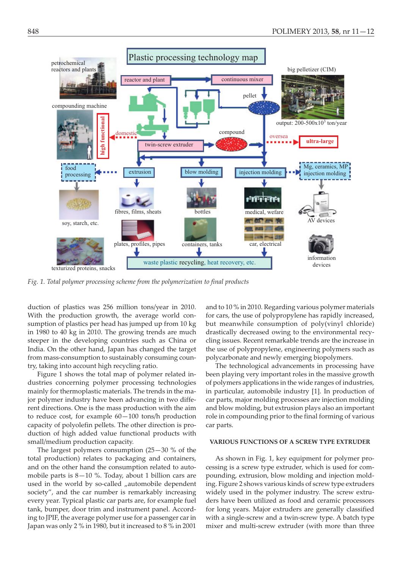

*Fig. 1. Total polymer processing scheme from the polymerization to final products*

duction of plastics was 256 million tons/year in 2010. With the production growth, the average world consumption of plastics per head has jumped up from 10 kg in 1980 to 40 kg in 2010. The growing trends are much steeper in the developing countries such as China or India. On the other hand, Japan has changed the target from mass-consumption to sustainably consuming country, taking into account high recycling ratio.

Figure 1 shows the total map of polymer related industries concerning polymer processing technologies mainly for thermoplastic materials. The trends in the major polymer industry have been advancing in two different directions. One is the mass production with the aim to reduce cost, for example 60—100 tons/h production capacity of polyolefin pellets. The other direction is production of high added value functional products with small/medium production capacity.

The largest polymers consumption (25—30 % of the total production) relates to packaging and containers, and on the other hand the consumption related to automobile parts is 8—10 %. Today, about 1 billion cars are used in the world by so-called "automobile dependent society", and the car number is remarkably increasing every year. Typical plastic car parts are, for example fuel tank, bumper, door trim and instrument panel. According to JPIF, the average polymer use for a passenger car in Japan was only 2 % in 1980, but it increased to 8 % in 2001

and to 10 % in 2010. Regarding various polymer materials for cars, the use of polypropylene has rapidly increased, but meanwhile consumption of poly(vinyl chloride) drastically decreased owing to the environmental recycling issues. Recent remarkable trends are the increase in the use of polypropylene, engineering polymers such as polycarbonate and newly emerging biopolymers.

The technological advancements in processing have been playing very important roles in the massive growth of polymers applications in the wide ranges of industries, in particular, automobile industry [1]. In production of car parts, major molding processes are injection molding and blow molding, but extrusion plays also an important role in compounding prior to the final forming of various car parts.

## **VARIOUS FUNCTIONS OF A SCREW TYPE EXTRUDER**

As shown in Fig. 1, key equipment for polymer processing is a screw type extruder, which is used for compounding, extrusion, blow molding and injection molding. Figure 2 shows various kinds of screw type extruders widely used in the polymer industry. The screw extruders have been utilized as food and ceramic processors for long years. Major extruders are generally classified with a single-screw and a twin-screw type. A batch type mixer and multi-screw extruder (with more than three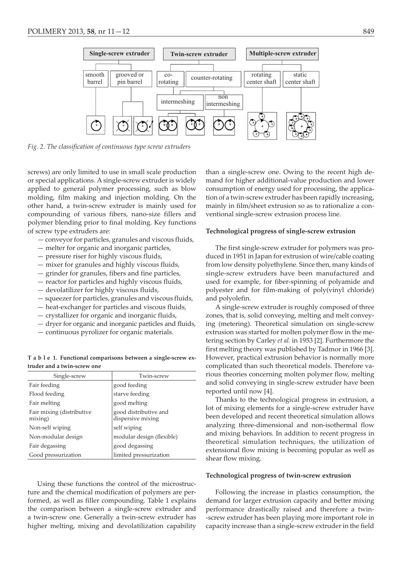

*Fig. 2. The classification of continuous type screw extruders*

screws) are only limited to use in small scale production or special applications. A single-screw extruder is widely applied to general polymer processing, such as blow molding, film making and injection molding. On the other hand, a twin-screw extruder is mainly used for compounding of various fibers, nano-size fillers and polymer blending prior to final molding. Key functions of screw type extruders are:

- conveyor for particles, granules and viscous fluids,
- melter for organic and inorganic particles,
- pressure riser for highly viscous fluids,
- mixer for granules and highly viscous fluids,
- grinder for granules, fibers and fine particles,
- reactor for particles and highly viscous fluids,
- devolatilizer for highly viscous fluids,
- squeezer for particles, granules and viscous fluids,
- heat-exchanger for particles and viscous fluids,
- crystallizer for organic and inorganic fluids,
- dryer for organic and inorganic particles and fluids,
- continuous pyrolizer for organic materials.

**T a b l e 1. Functional comparisons between a single-screw extruder and a twin-screw one**

| Single-screw                         | Twin-screw                                 |
|--------------------------------------|--------------------------------------------|
| Fair feeding                         | good feeding                               |
| Flood feeding                        | starve feeding                             |
| Fair melting                         | good melting                               |
| Fair mixing (distributive<br>mixing) | good distributive and<br>dispersive mixing |
| Non-self wiping                      | self wiping                                |
| Non-modular design                   | modular design (flexible)                  |
| Fair degassing                       | good degassing                             |
| Good pressurization                  | limited pressurization                     |

Using these functions the control of the microstructure and the chemical modification of polymers are performed, as well as filler compounding. Table 1 explains the comparison between a single-screw extruder and a twin-screw one. Generally a twin-screw extruder has higher melting, mixing and devolatilization capability

than a single-screw one. Owing to the recent high demand for higher additional-value production and lower consumption of energy used for processing, the application of a twin-screw extruder has been rapidly increasing, mainly in film/sheet extrusion so as to rationalize a conventional single-screw extrusion process line.

#### **Technological progress of single-screw extrusion**

The first single-screw extruder for polymers was produced in 1951 in Japan for extrusion of wire/cable coating from low density polyethylene. Since then, many kinds of single-screw extruders have been manufactured and used for example, for fiber-spinning of polyamide and polyester and for film-making of poly(vinyl chloride) and polyolefin.

A single-screw extruder is roughly composed of three zones, that is, solid conveying, melting and melt conveying (metering). Theoretical simulation on single-screw extrusion was started for molten polymer flow in the metering section by Carley *et al.* in 1953 [2]. Furthermore the first melting theory was published by Tadmor in 1966 [3]. However, practical extrusion behavior is normally more complicated than such theoretical models. Therefore various theories concerning molten polymer flow, melting and solid conveying in single-screw extruder have been reported until now [4].

Thanks to the technological progress in extrusion, a lot of mixing elements for a single-screw extruder have been developed and recent theoretical simulation allows analyzing three-dimensional and non-isothermal flow and mixing behaviors. In addition to recent progress in theoretical simulation techniques, the utilization of extensional flow mixing is becoming popular as well as shear flow mixing.

## **Technological progress of twin-screw extrusion**

Following the increase in plastics consumption, the demand for larger extrusion capacity and better mixing performance drastically raised and therefore a twin- -screw extruder has been playing more important role in capacity increase than a single-screw extruder in the field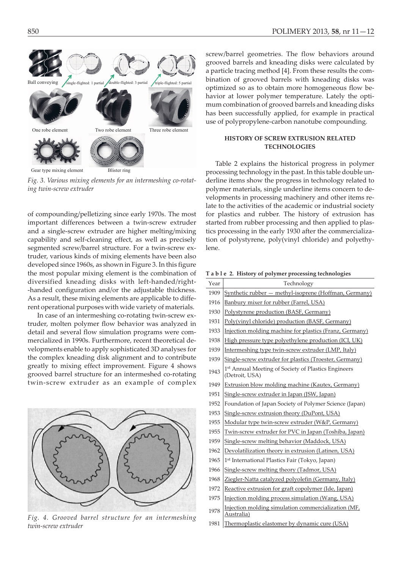

Gear type mixing element Blister ring

*Fig. 3. Various mixing elements for an intermeshing co-rotat-*

*ing twin-screw extruder*

of compounding/pelletizing since early 1970s. The most important differences between a twin-screw extruder and a single-screw extruder are higher melting/mixing capability and self-cleaning effect, as well as precisely segmented screw/barrel structure. For a twin-screw extruder, various kinds of mixing elements have been also developed since 1960s, as shown in Figure 3. In this figure the most popular mixing element is the combination of diversified kneading disks with left-handed/right- -handed configuration and/or the adjustable thickness. As a result, these mixing elements are applicable to different operational purposes with wide variety of materials.

In case of an intermeshing co-rotating twin-screw extruder, molten polymer flow behavior was analyzed in detail and several flow simulation programs were commercialized in 1990s. Furthermore, recent theoretical developments enable to apply sophisticated 3D analyses for the complex kneading disk alignment and to contribute greatly to mixing effect improvement. Figure 4 shows grooved barrel structure for an intermeshed co-rotating twin-screw extruder as an example of complex



*Fig. 4. Grooved barrel structure for an intermeshing twin-screw extruder*

screw/barrel geometries. The flow behaviors around grooved barrels and kneading disks were calculated by a particle tracing method [4]. From these results the combination of grooved barrels with kneading disks was optimized so as to obtain more homogeneous flow behavior at lower polymer temperature. Lately the optimum combination of grooved barrels and kneading disks has been successfully applied, for example in practical use of polypropylene-carbon nanotube compounding.

# **HISTORY OF SCREW EXTRUSION RELATED TECHNOLOGIES**

Table 2 explains the historical progress in polymer processing technology in the past. In this table double underline items show the progress in technology related to polymer materials, single underline items concern to developments in processing machinery and other items relate to the activities of the academic or industrial society for plastics and rubber. The history of extrusion has started from rubber processing and then applied to plastics processing in the early 1930 after the commercialization of polystyrene, poly(vinyl chloride) and polyethylene.

**T a b l e 2. History of polymer processing technologies**

| Year | Technology                                                            |
|------|-----------------------------------------------------------------------|
| 1909 | Synthetic rubber - methyl-isoprene (Hoffman, Germany)                 |
| 1916 | Banbury mixer for rubber (Farrel, USA)                                |
| 1930 | Polystyrene production (BASF, Germany)                                |
| 1931 | Poly(vinyl chloride) production (BASF, Germany)                       |
| 1933 | Injection molding machine for plastics (Franz, Germany)               |
| 1938 | High pressure type polyethylene production (ICI, UK)                  |
| 1939 | Intermeshing type twin-screw extruder (LMP, Italy)                    |
| 1939 | Single-screw extruder for plastics (Troester, Germany)                |
| 1943 | 1st Annual Meeting of Society of Plastics Engineers<br>(Detroit, USA) |
| 1949 | Extrusion blow molding machine (Kautex, Germany)                      |
| 1951 | Single-screw extruder in Japan (JSW, Japan)                           |
| 1952 | Foundation of Japan Society of Polymer Science (Japan)                |
| 1953 | Single-screw extrusion theory (DuPont, USA)                           |
| 1955 | Modular type twin-screw extruder (W&P, Germany)                       |
| 1955 | Twin-screw extruder for PVC in Japan (Toshiba, Japan)                 |
| 1959 | Single-screw melting behavior (Maddock, USA)                          |
| 1962 | Devolatilization theory in extrusion (Latinen, USA)                   |
| 1965 | 1 <sup>st</sup> International Plastics Fair (Tokyo, Japan)            |
| 1966 | Single-screw melting theory (Tadmor, USA)                             |
| 1968 | Ziegler-Natta catalyzed polyolefin (Germany, Italy)                   |
| 1972 | Reactive extrusion for graft copolymer (Ide, Japan)                   |
| 1975 | Injection molding process simulation (Wang, USA)                      |
| 1978 | Injection molding simulation commercialization (MF,<br>Australia)     |
| 1981 | Thermoplastic elastomer by dynamic cure (USA)                         |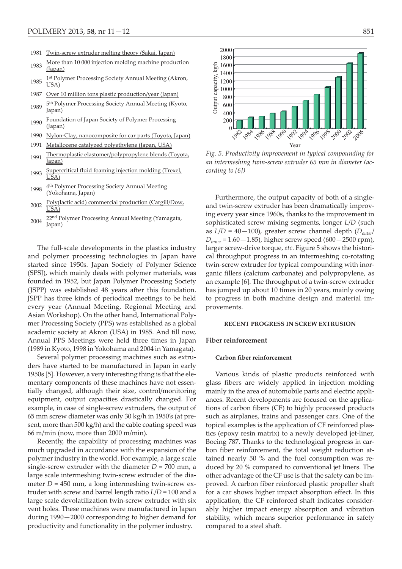Ï

| 1981 | <u>Twin-screw extruder melting theory (Sakai, Japan)</u>                         |
|------|----------------------------------------------------------------------------------|
| 1983 | More than 10 000 injection molding machine production<br>(Japan)                 |
| 1985 | 1st Polymer Processing Society Annual Meeting (Akron,<br>USA)                    |
| 1987 | Over 10 million tons plastic production/year (Japan)                             |
| 1989 | 5th Polymer Processing Society Annual Meeting (Kyoto,<br>Japan)                  |
| 1990 | Foundation of Japan Society of Polymer Processing<br>(Japan)                     |
| 1990 | Nylon-Clay, nanocomposite for car parts (Toyota, Japan)                          |
| 1991 | Metallocene catalyzed polyethylene (Japan, USA)                                  |
| 1991 | <u>Thermoplastic elastomer/polypropylene blends (Toyota,</u><br>Japan)           |
| 1993 | Supercritical fluid foaming injection molding (Trexel,<br>USA)                   |
| 1998 | 4 <sup>th</sup> Polymer Processing Society Annual Meeting<br>(Yokohama, Japan)   |
| 2002 | <u>Poly(lactic acid)</u> commercial production (Cargill/Dow,<br>$\overline{USA}$ |
| 2004 | 22 <sup>nd</sup> Polymer Processing Annual Meeting (Yamagata,<br>Japan)          |

The full-scale developments in the plastics industry and polymer processing technologies in Japan have started since 1950s. Japan Society of Polymer Science (SPSJ), which mainly deals with polymer materials, was founded in 1952, but Japan Polymer Processing Society (JSPP) was established 48 years after this foundation. JSPP has three kinds of periodical meetings to be held every year (Annual Meeting, Regional Meeting and Asian Workshop). On the other hand, International Polymer Processing Society (PPS) was established as a global academic society at Akron (USA) in 1985. And till now, Annual PPS Meetings were held three times in Japan (1989 in Kyoto, 1998 in Yokohama and 2004 in Yamagata).

Several polymer processing machines such as extruders have started to be manufactured in Japan in early 1950s [5]. However, a very interesting thing is that the elementary components of these machines have not essentially changed, although their size, control/monitoring equipment, output capacities drastically changed. For example, in case of single-screw extruders, the output of 65 mm screw diameter was only 30 kg/h in 1950's (at present, more than 500 kg/h) and the cable coating speed was 66 m/min (now, more than 2000 m/min).

Recently, the capability of processing machines was much upgraded in accordance with the expansion of the polymer industry in the world. For example, a large scale single-screw extruder with the diameter  $D = 700$  mm, a large scale intermeshing twin-screw extruder of the diameter  $D = 450$  mm, a long intermeshing twin-screw extruder with screw and barrel length ratio *L*/*D* = 100 and a large scale devolatilization twin-screw extruder with six vent holes. These machines were manufactured in Japan during 1990—2000 corresponding to higher demand for productivity and functionality in the polymer industry.



*Fig. 5. Productivity improvement in typical compounding for an intermeshing twin-screw extruder 65 mm in diameter (according to [6])*

Furthermore, the output capacity of both of a singleand twin-screw extruder has been dramatically improving every year since 1960s, thanks to the improvement in sophisticated screw mixing segments, longer *L*/*D* (such as  $L/D = 40-100$ ), greater screw channel depth  $(D_{outer}/D)$ *Dinner* = 1.60—1.85), higher screw speed (600—2500 rpm), larger screw-drive torque, *etc*. Figure 5 shows the historical throughput progress in an intermeshing co-rotating twin-screw extruder for typical compounding with inorganic fillers (calcium carbonate) and polypropylene, as an example [6]. The throughput of a twin-screw extruder has jumped up about 10 times in 20 years, mainly owing to progress in both machine design and material improvements.

## **RECENT PROGRESS IN SCREW EXTRUSION**

#### **Fiber reinforcement**

### **Carbon fiber reinforcement**

Various kinds of plastic products reinforced with glass fibers are widely applied in injection molding mainly in the area of automobile parts and electric appliances. Recent developments are focused on the applications of carbon fibers (CF) to highly processed products such as airplanes, trains and passenger cars. One of the topical examples is the application of CF reinforced plastics (epoxy resin matrix) to a newly developed jet-liner, Boeing 787. Thanks to the technological progress in carbon fiber reinforcement, the total weight reduction attained nearly 50 % and the fuel consumption was reduced by 20 % compared to conventional jet liners. The other advantage of the CF use is that the safety can be improved. A carbon fiber reinforced plastic propeller shaft for a car shows higher impact absorption effect. In this application, the CF reinforced shaft indicates considerably higher impact energy absorption and vibration stability, which means superior performance in safety compared to a steel shaft.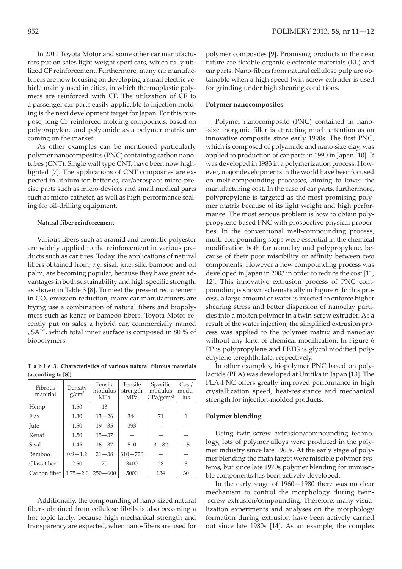In 2011 Toyota Motor and some other car manufacturers put on sales light-weight sport cars, which fully utilized CF reinforcement. Furthermore, many car manufacturers are now focusing on developing a small electric vehicle mainly used in cities, in which thermoplastic polymers are reinforced with CF. The utilization of CF to a passenger car parts easily applicable to injection molding is the next development target for Japan. For this purpose, long CF reinforced molding compounds, based on polypropylene and polyamide as a polymer matrix are coming on the market.

As other examples can be mentioned particularly polymer nanocomposites (PNC) containing carbon nanotubes (CNT). Single wall type CNT, have been now highlighted [7]. The applications of CNT composites are expected in lithium ion batteries, car/aerospace micro-precise parts such as micro-devices and small medical parts such as micro-catheter, as well as high-performance sealing for oil-drilling equipment.

#### **Natural fiber reinforcement**

Various fibers such as aramid and aromatic polyester are widely applied to the reinforcement in various products such as car tires. Today, the applications of natural fibers obtained from, *e.g*. sisal, jute, silk, bamboo and oil palm, are becoming popular, because they have great advantages in both sustainability and high specific strength, as shown in Table 3 [8]. To meet the present requirement in  $CO<sub>2</sub>$  emission reduction, many car manufacturers are trying use a combination of natural fibers and biopolymers such as kenaf or bamboo fibers. Toyota Motor recently put on sales a hybrid car, commercially named "SAI", which total inner surface is composed in 80 % of biopolymers.

**T a b l e 3. Characteristics of various natural fibrous materials (according to [8])**

| Fibrous<br>material | Density<br>$g/cm^3$ | Tensile<br>modulus<br><b>MPa</b> | Tensile<br>strength<br><b>MPa</b> | Specific<br>modulus<br>$GPa/gcm-3$ | Cost/<br>modu-<br>lus |
|---------------------|---------------------|----------------------------------|-----------------------------------|------------------------------------|-----------------------|
| Hemp                | 1.50                | 13                               |                                   |                                    |                       |
| Flax                | 1.30                | $13 - 26$                        | 344                               | 71                                 | 1                     |
| Jute                | 1.50                | $19 - 35$                        | 393                               |                                    |                       |
| Kenaf               | 1.50                | $15 - 37$                        |                                   |                                    |                       |
| Sisal               | 1.45                | $16 - 37$                        | 510                               | $3 - 82$                           | 1.5                   |
| Bamboo              | $0.9 - 1.2$         | $21 - 38$                        | $310 - 720$                       |                                    |                       |
| Glass fiber         | 2.50                | 70                               | 3400                              | 28                                 | 3                     |
| Carbon fiber        | $1.75 - 2.0$        | $250 - 600$                      | 5000                              | 134                                | 30                    |

Additionally, the compounding of nano-sized natural fibers obtained from cellulose fibrils is also becoming a hot topic lately, because high mechanical strength and transparency are expected, when nano-fibers are used for polymer composites [9]. Promising products in the near future are flexible organic electronic materials (EL) and car parts. Nano-fibers from natural cellulose pulp are obtainable when a high speed twin-screw extruder is used for grinding under high shearing conditions.

## **Polymer nanocomposites**

Polymer nanocomposite (PNC) contained in nano- -size inorganic filler is attracting much attention as an innovative composite since early 1990s. The first PNC, which is composed of polyamide and nano-size clay, was applied to production of car parts in 1990 in Japan [10]. It was developed in 1983 in a polymerization process. However, major developments in the world have been focused on melt-compounding processes, aiming to lower the manufacturing cost. In the case of car parts, furthermore, polypropylene is targeted as the most promising polymer matrix because of its light weight and high performance. The most serious problem is how to obtain polypropylene-based PNC with prospective physical properties. In the conventional melt-compounding process, multi-compounding steps were essential in the chemical modification both for nanoclay and polypropylene, because of their poor miscibility or affinity between two components. However a new compounding process was developed in Japan in 2003 in order to reduce the cost [11, 12]. This innovative extrusion process of PNC compounding is shown schematically in Figure 6. In this process, a large amount of water is injected to enforce higher shearing stress and better dispersion of nanoclay particles into a molten polymer in a twin-screw extruder. As a result of the water injection, the simplified extrusion process was applied to the polymer matrix and nanoclay without any kind of chemical modification. In Figure 6 PP is polypropylene and PETG is glycol modified polyethylene terephthalate, respectively.

In other examples, biopolymer PNC based on polylactide (PLA) was developed at Unitika in Japan [13]. The PLA-PNC offers greatly improved performance in high crystallization speed, heat-resistance and mechanical strength for injection-molded products.

# **Polymer blending**

Using twin-screw extrusion/compounding technology, lots of polymer alloys were produced in the polymer industry since late 1960s. At the early stage of polymer blending the main target were miscible polymer systems, but since late 1970s polymer blending for immiscible components has been actively developed.

In the early stage of 1960—1980 there was no clear mechanism to control the morphology during twin- -screw extrusion/compounding. Therefore, many visualization experiments and analyses on the morphology formation during extrusion have been actively carried out since late 1980s [14]. As an example, the complex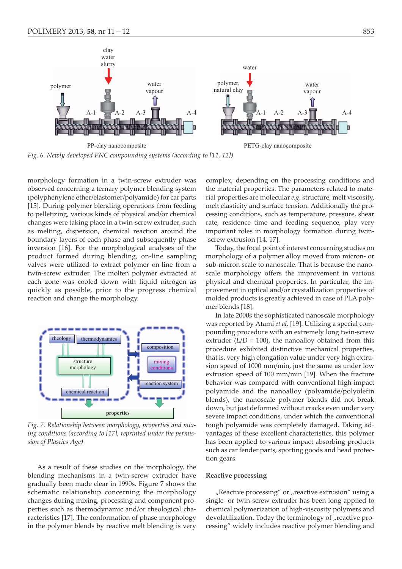

*Fig. 6. Newly developed PNC compounding systems (according to [11, 12])*

morphology formation in a twin-screw extruder was observed concerning a ternary polymer blending system (polyphenylene ether/elastomer/polyamide) for car parts [15]. During polymer blending operations from feeding to pelletizing, various kinds of physical and/or chemical changes were taking place in a twin-screw extruder, such as melting, dispersion, chemical reaction around the boundary layers of each phase and subsequently phase inversion [16]. For the morphological analyses of the product formed during blending, on-line sampling valves were utilized to extract polymer on-line from a twin-screw extruder. The molten polymer extracted at each zone was cooled down with liquid nitrogen as quickly as possible, prior to the progress chemical reaction and change the morphology.



*Fig. 7. Relationship between morphology, properties and mixing conditions (according to [17], reprinted under the permission of Plastics Age)*

As a result of these studies on the morphology, the blending mechanisms in a twin-screw extruder have gradually been made clear in 1990s. Figure 7 shows the schematic relationship concerning the morphology changes during mixing, processing and component properties such as thermodynamic and/or rheological characteristics [17]. The conformation of phase morphology in the polymer blends by reactive melt blending is very complex, depending on the processing conditions and the material properties. The parameters related to material properties are molecular *e.g*. structure, melt viscosity, melt elasticity and surface tension. Additionally the processing conditions, such as temperature, pressure, shear rate, residence time and feeding sequence, play very important roles in morphology formation during twin- -screw extrusion [14, 17].

Today, the focal point of interest concerning studies on morphology of a polymer alloy moved from micron- or sub-micron scale to nanoscale. That is because the nanoscale morphology offers the improvement in various physical and chemical properties. In particular, the improvement in optical and/or crystallization properties of molded products is greatly achieved in case of PLA polymer blends [18].

In late 2000s the sophisticated nanoscale morphology was reported by Atami *et al.* [19]. Utilizing a special compounding procedure with an extremely long twin-screw extruder  $(L/D = 100)$ , the nanoalloy obtained from this procedure exhibited distinctive mechanical properties, that is, very high elongation value under very high extrusion speed of 1000 mm/min, just the same as under low extrusion speed of 100 mm/min [19]. When the fracture behavior was compared with conventional high-impact polyamide and the nanoalloy (polyamide/polyolefin blends), the nanoscale polymer blends did not break down, but just deformed without cracks even under very severe impact conditions, under which the conventional tough polyamide was completely damaged. Taking advantages of these excellent characteristics, this polymer has been applied to various impact absorbing products such as car fender parts, sporting goods and head protection gears.

## **Reactive processing**

 $n$ Reactive processing" or  $n$  reactive extrusion" using a single- or twin-screw extruder has been long applied to chemical polymerization of high-viscosity polymers and devolatilization. Today the terminology of "reactive processing" widely includes reactive polymer blending and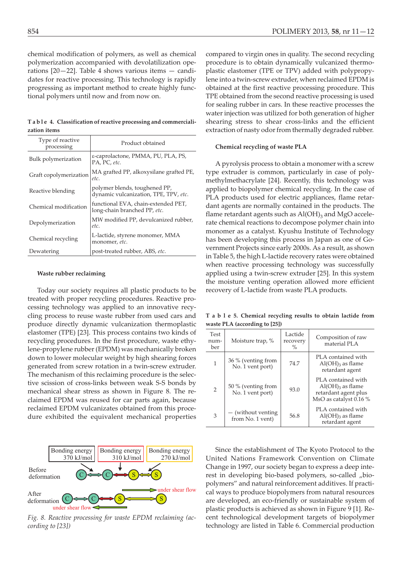chemical modification of polymers, as well as chemical polymerization accompanied with devolatilization operations [20—22]. Table 4 shows various items — candidates for reactive processing. This technology is rapidly progressing as important method to create highly functional polymers until now and from now on.

**T a b l e 4. Classification of reactive processing and commercialization items**

| Type of reactive<br>processing | Product obtained                                                       |
|--------------------------------|------------------------------------------------------------------------|
| Bulk polymerization            | ε-caprolactone, PMMA, PU, PLA, PS,<br>PA, PC, etc.                     |
| Graft copolymerization         | MA grafted PP, alkoxysilane grafted PE,<br>etc.                        |
| Reactive blending              | polymer blends, toughened PP,<br>dynamic vulcanization, TPE, TPV, etc. |
| Chemical modification          | functional EVA, chain-extended PET,<br>long-chain branched PP, etc.    |
| Depolymerization               | MW modified PP, devulcanized rubber,<br>etc.                           |
| Chemical recycling             | L-lactide, styrene monomer, MMA<br>monomer, etc.                       |
| Dewatering                     | post-treated rubber, ABS, etc.                                         |

#### **Waste rubber reclaiming**

Today our society requires all plastic products to be treated with proper recycling procedures. Reactive processing technology was applied to an innovative recycling process to reuse waste rubber from used cars and produce directly dynamic vulcanization thermoplastic elastomer (TPE) [23]. This process contains two kinds of recycling procedures. In the first procedure, waste ethylene-propylene rubber (EPDM) was mechanically broken down to lower molecular weight by high shearing forces generated from screw rotation in a twin-screw extruder. The mechanism of this reclaiming procedure is the selective scission of cross-links between weak S-S bonds by mechanical shear stress as shown in Figure 8. The reclaimed EPDM was reused for car parts again, because reclaimed EPDM vulcanizates obtained from this procedure exhibited the equivalent mechanical properties



*Fig. 8. Reactive processing for waste EPDM reclaiming (according to [23])*

compared to virgin ones in quality. The second recycling procedure is to obtain dynamically vulcanized thermoplastic elastomer (TPE or TPV) added with polypropylene into a twin-screw extruder, when reclaimed EPDM is obtained at the first reactive processing procedure. This TPE obtained from the second reactive processing is used for sealing rubber in cars. In these reactive processes the water injection was utilized for both generation of higher shearing stress to shear cross-links and the efficient extraction of nasty odor from thermally degraded rubber.

# **Chemical recycling of waste PLA**

A pyrolysis process to obtain a monomer with a screw type extruder is common, particularly in case of polymethylmethacrylate [24]. Recently, this technology was applied to biopolymer chemical recycling. In the case of PLA products used for electric appliances, flame retardant agents are normally contained in the products. The flame retardant agents such as  $Al(OH)_3$  and MgO accelerate chemical reactions to decompose polymer chain into monomer as a catalyst. Kyushu Institute of Technology has been developing this process in Japan as one of Government Projects since early 2000s. As a result, as shown in Table 5, the high L-lactide recovery rates were obtained when reactive processing technology was successfully applied using a twin-screw extruder [25]. In this system the moisture venting operation allowed more efficient recovery of L-lactide from waste PLA products.

**T a b l e 5. Chemical recycling results to obtain lactide from waste PLA (according to [25])**

| <b>Test</b><br>num-<br>ber | Moisture trap, %                       | Lactide<br>recovery<br>$\%$ | Composition of raw<br>material PLA                                                                     |
|----------------------------|----------------------------------------|-----------------------------|--------------------------------------------------------------------------------------------------------|
| 1                          | 36 % (venting from<br>No. 1 vent port) | 74.7                        | PLA contained with<br>$Al(OH)$ <sub>3</sub> as flame<br>retardant agent                                |
| 2                          | 50 % (venting from<br>No. 1 vent port) | 93.0                        | PLA contained with<br>$Al(OH)$ <sub>3</sub> as flame<br>retardant agent plus<br>MsO as catalyst 0.16 % |
| 3                          | — (without venting<br>from No. 1 vent) | 56.8                        | PLA contained with<br>$Al(OH)$ <sub>3</sub> as flame<br>retardant agent                                |

Since the establishment of The Kyoto Protocol to the United Nations Framework Convention on Climate Change in 1997, our society began to express a deep interest in developing bio-based polymers, so-called "biopolymers" and natural reinforcement additives. If practical ways to produce biopolymers from natural resources are developed, an eco-friendly or sustainable system of plastic products is achieved as shown in Figure 9 [1]. Recent technological development targets of biopolymer technology are listed in Table 6. Commercial production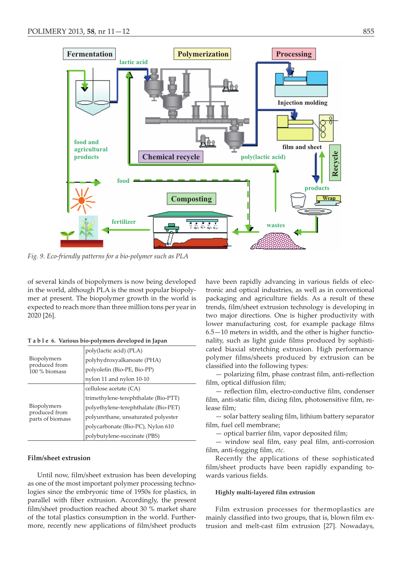

*Fig. 9. Eco-friendly patterns for a bio-polymer such as PLA*

of several kinds of biopolymers is now being developed in the world, although PLA is the most popular biopolymer at present. The biopolymer growth in the world is expected to reach more than three million tons per year in 2020 [26].

|                                                      | poly(lactic acid) (PLA)              |  |
|------------------------------------------------------|--------------------------------------|--|
| <b>Biopolymers</b><br>produced from<br>100 % biomass | polyhydroxyalkanoate (PHA)           |  |
|                                                      | polyolefin (Bio-PE, Bio-PP)          |  |
|                                                      | nylon 11 and nylon 10-10             |  |
| Biopolymers<br>produced from<br>parts of biomass     | cellulose acetate (CA)               |  |
|                                                      | trimethylene-terephthalate (Bio-PTT) |  |
|                                                      | polyethylene-terephthalate (Bio-PET) |  |
|                                                      | polyurethane, unsaturated polyester  |  |
|                                                      | polycarbonate (Bio-PC), Nylon 610    |  |
|                                                      | polybutylene-succinate (PBS)         |  |

**T a b l e 6. Various bio-polymers developed in Japan**

# **Film/sheet extrusion**

Until now, film/sheet extrusion has been developing as one of the most important polymer processing technologies since the embryonic time of 1950s for plastics, in parallel with fiber extrusion. Accordingly, the present film/sheet production reached about 30 % market share of the total plastics consumption in the world. Furthermore, recently new applications of film/sheet products have been rapidly advancing in various fields of electronic and optical industries, as well as in conventional packaging and agriculture fields. As a result of these trends, film/sheet extrusion technology is developing in two major directions. One is higher productivity with lower manufacturing cost, for example package films 6.5—10 meters in width, and the other is higher functionality, such as light guide films produced by sophisticated biaxial stretching extrusion. High performance polymer films/sheets produced by extrusion can be classified into the following types:

— polarizing film, phase contrast film, anti-reflection film, optical diffusion film;

— reflection film, electro-conductive film, condenser film, anti-static film, dicing film, photosensitive film, release film;

— solar battery sealing film, lithium battery separator film, fuel cell membrane;

— optical barrier film, vapor deposited film;

— window seal film, easy peal film, anti-corrosion film, anti-fogging film, *etc*.

Recently the applications of these sophisticated film/sheet products have been rapidly expanding towards various fields.

## **Highly multi-layered film extrusion**

Film extrusion processes for thermoplastics are mainly classified into two groups, that is, blown film extrusion and melt-cast film extrusion [27]. Nowadays,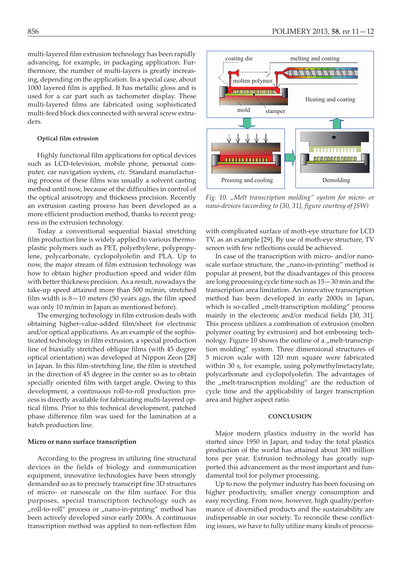multi-layered film extrusion technology has been rapidly advancing, for example, in packaging application. Furthermore, the number of multi-layers is greatly increasing, depending on the application. In a special case, about 1000 layered film is applied. It has metallic gloss and is used for a car part such as tachometer display. These multi-layered films are fabricated using sophisticated multi-feed block dies connected with several screw extruders.

## **Optical film extrusion**

Highly functional film applications for optical devices such as LCD-television, mobile phone, personal computer, car navigation system, *etc*. Standard manufacturing process of these films was usually a solvent casting method until now, because of the difficulties in control of the optical anisotropy and thickness precision. Recently an extrusion casting process has been developed as a more efficient production method, thanks to recent progress in the extrusion technology.

Today a conventional sequential biaxial stretching film production line is widely applied to various thermoplastic polymers such as PET, polyethylene, polypropylene, polycarbonate, cyclopolyolefin and PLA. Up to now, the major stream of film extrusion technology was how to obtain higher production speed and wider film with better thickness precision. As a result, nowadays the take-up speed attained more than 500 m/min, stretched film width is 8—10 meters (50 years ago, the film speed was only 10 m/min in Japan as mentioned before).

The emerging technology in film extrusion deals with obtaining higher-value-added film/sheet for electronic and/or optical applications. As an example of the sophisticated technology in film extrusion, a special production line of biaxially stretched oblique films (with 45 degree optical orientation) was developed at Nippon Zeon [28] in Japan. In this film-stretching line, the film is stretched in the direction of 45 degree in the center so as to obtain specially oriented film with target angle. Owing to this development, a continuous roll-to-roll production process is directly available for fabricating multi-layered optical films. Prior to this technical development, patched phase difference film was used for the lamination at a batch production line.

## **Micro or nano surface transcription**

According to the progress in utilizing fine structural devices in the fields of biology and communication equipment, innovative technologies have been strongly demanded so as to precisely transcript fine 3D structures of micro- or nanoscale on the film surface. For this purposes, special transcription technology such as "roll-to-roll" process or "nano-in-printing" method has been actively developed since early 2000s. A continuous transcription method was applied to non-reflection film



*Fig. 10. "Melt transcription molding" system for micro- or nano-devices (according to [30, 31], figure courtesy of JSW)*

with complicated surface of moth-eye structure for LCD TV, as an example [29]. By use of moth-eye structure, TV screen with few reflections could be achieved.

In case of the transcription with micro- and/or nanoscale surface structure, the "nano-in-printing" method is popular at present, but the disadvantages of this process are long processing cycle time such as 15—30 min and the transcription area limitation. An innovative transcription method has been developed in early 2000s in Japan, which is so-called "melt-transcription molding" process mainly in the electronic and/or medical fields [30, 31]. This process utilizes a combination of extrusion (molten polymer coating by extrusion) and hot embossing technology. Figure 10 shows the outline of a "melt-transcription molding" system. Three dimensional structures of 5 micron scale with 120 mm square were fabricated within 30 s, for example, using polymethylmetacrylate, polycarbonate and cyclopolyolefin. The advantages of the "melt-transcription molding" are the reduction of cycle time and the applicability of larger transcription area and higher aspect ratio.

## **CONCLUSION**

Major modern plastics industry in the world has started since 1950 in Japan, and today the total plastics production of the world has attained about 300 million tons per year. Extrusion technology has greatly supported this advancement as the most important and fundamental tool for polymer processing.

Up to now the polymer industry has been focusing on higher productivity, smaller energy consumption and easy recycling. From now, however, high quality/performance of diversified products and the sustainability are indispensable in our society. To reconcile these conflicting issues, we have to fully utilize many kinds of process